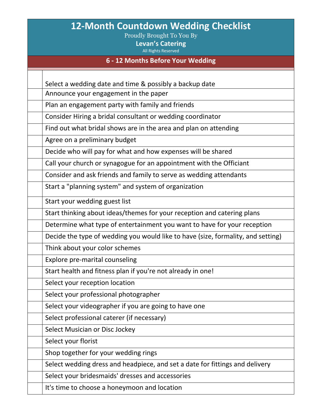# **12-Month Countdown Wedding Checklist**

Proudly Brought To You By

**Levan's Catering**

All Rights Reserved

#### **6 - 12 Months Before Your Wedding**

Select a wedding date and time & possibly a backup date

Announce your engagement in the paper

Plan an engagement party with family and friends

Consider Hiring a bridal consultant or wedding coordinator

Find out what bridal shows are in the area and plan on attending

Agree on a preliminary budget

Decide who will pay for what and how expenses will be shared

Call your church or synagogue for an appointment with the Officiant

Consider and ask friends and family to serve as wedding attendants

Start a "planning system" and system of organization

Start your wedding guest list

Start thinking about ideas/themes for your reception and catering plans

Determine what type of entertainment you want to have for your reception

Decide the type of wedding you would like to have (size, formality, and setting)

Think about your color schemes

Explore pre-marital counseling

Start health and fitness plan if you're not already in one!

Select your reception location

Select your professional photographer

Select your videographer if you are going to have one

Select professional caterer (if necessary)

Select Musician or Disc Jockey

Select your florist

Shop together for your wedding rings

Select wedding dress and headpiece, and set a date for fittings and delivery

Select your bridesmaids' dresses and accessories

It's time to choose a honeymoon and location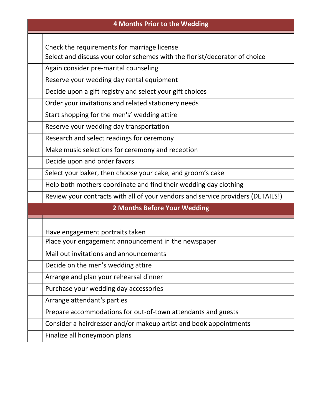| <b>4 Months Prior to the Wedding</b> |                                                                                 |
|--------------------------------------|---------------------------------------------------------------------------------|
|                                      |                                                                                 |
|                                      | Check the requirements for marriage license                                     |
|                                      | Select and discuss your color schemes with the florist/decorator of choice      |
|                                      | Again consider pre-marital counseling                                           |
|                                      | Reserve your wedding day rental equipment                                       |
|                                      | Decide upon a gift registry and select your gift choices                        |
|                                      | Order your invitations and related stationery needs                             |
|                                      | Start shopping for the men's' wedding attire                                    |
|                                      | Reserve your wedding day transportation                                         |
|                                      | Research and select readings for ceremony                                       |
|                                      | Make music selections for ceremony and reception                                |
|                                      | Decide upon and order favors                                                    |
|                                      | Select your baker, then choose your cake, and groom's cake                      |
|                                      | Help both mothers coordinate and find their wedding day clothing                |
|                                      | Review your contracts with all of your vendors and service providers (DETAILS!) |
| 2 Months Before Your Wedding         |                                                                                 |
|                                      |                                                                                 |
|                                      | Have engagement portraits taken                                                 |
|                                      | Place your engagement announcement in the newspaper                             |
|                                      | Mail out invitations and announcements                                          |
|                                      | Decide on the men's wedding attire                                              |
|                                      | Arrange and plan your rehearsal dinner                                          |
|                                      | Purchase your wedding day accessories                                           |
|                                      | Arrange attendant's parties                                                     |
|                                      | Prepare accommodations for out-of-town attendants and guests                    |
|                                      | Consider a hairdresser and/or makeup artist and book appointments               |
|                                      | Finalize all honeymoon plans                                                    |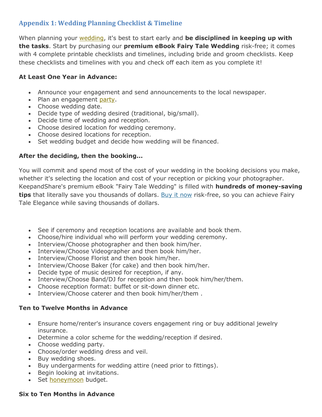# **Appendix 1: Wedding Planning Checklist & Timeline**

When planning your [wedding,](http://www.keepandshare.com/htm/wedding_planning/fairytale/A01_Wedding_Planning_Checklist-Timeline.php) it's best to start early and **be disciplined in keeping up with the tasks**. Start by purchasing our **premium eBook Fairy Tale Wedding** risk-free; it comes with 4 complete printable checklists and timelines, including bride and groom checklists. Keep these checklists and timelines with you and check off each item as you complete it!

# **At Least One Year in Advance:**

- Announce your engagement and send announcements to the local newspaper.
- Plan an engagement [party.](http://www.keepandshare.com/htm/wedding_planning/fairytale/A01_Wedding_Planning_Checklist-Timeline.php)
- Choose wedding date.
- Decide type of wedding desired (traditional, big/small).
- Decide time of wedding and reception.
- Choose desired location for wedding ceremony.
- Choose desired locations for reception.
- Set wedding budget and decide how wedding will be financed.

# **After the deciding, then the booking...**

You will commit and spend most of the cost of your wedding in the booking decisions you make, whether it's selecting the location and cost of your reception or picking your photographer. KeepandShare's premium eBook "Fairy Tale Wedding" is filled with **hundreds of money-saving tips** that literally save you thousands of dollars. [Buy it now](https://www.keepandshare.com/business/ebook1.php?p=wedding) risk-free, so you can achieve Fairy Tale Elegance while saving thousands of dollars.

- See if ceremony and reception locations are available and book them.
- Choose/hire individual who will perform your wedding ceremony.
- Interview/Choose photographer and then book him/her.
- Interview/Choose Videographer and then book him/her.
- Interview/Choose Florist and then book him/her.
- Interview/Choose Baker (for cake) and then book him/her.
- Decide type of music desired for reception, if any.
- Interview/Choose Band/DJ for reception and then book him/her/them.
- Choose reception format: buffet or sit-down dinner etc.
- Interview/Choose caterer and then book him/her/them .

# **Ten to Twelve Months in Advance**

- Ensure home/renter's insurance covers engagement ring or buy additional jewelry insurance.
- Determine a color scheme for the wedding/reception if desired.
- Choose wedding party.
- Choose/order wedding dress and veil.
- Buy wedding shoes.
- Buy undergarments for wedding attire (need prior to fittings).
- Begin looking at invitations.
- Set [honeymoon](http://www.keepandshare.com/htm/wedding_planning/fairytale/A01_Wedding_Planning_Checklist-Timeline.php) budget.

# **Six to Ten Months in Advance**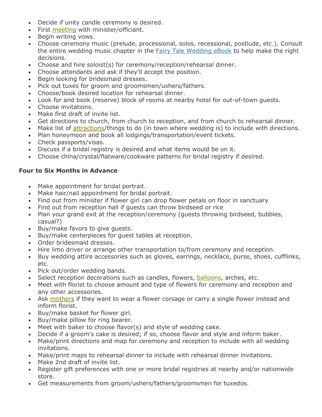- Decide if unity candle ceremony is desired.
- First [meeting](http://www.keepandshare.com/htm/wedding_planning/fairytale/A01_Wedding_Planning_Checklist-Timeline.php) with minister/officiant.
- Begin writing vows.
- Choose ceremony music (prelude, processional, solos, recessional, postlude, etc.). Consult the entire wedding music chapter in the [Fairy Tale Wedding eBook](https://www.keepandshare.com/business/ebook1.php?p=wedding) to help make the right decisions.
- Choose and hire soloist(s) for ceremony/reception/rehearsal dinner.
- Choose attendants and ask if they'll accept the position.
- Begin looking for bridesmaid dresses.
- Pick out tuxes for groom and groomsmen/ushers/fathers.
- Choose/book desired location for rehearsal dinner.
- Look for and book (reserve) block of rooms at nearby hotel for out-of-town guests.
- Choose invitations.
- Make first draft of invite list.
- Get directions to church, from church to reception, and from church to rehearsal dinner.
- Make list of [attractions/](http://www.keepandshare.com/htm/wedding_planning/fairytale/A01_Wedding_Planning_Checklist-Timeline.php)things to do (in town where wedding is) to include with directions.
- Plan honeymoon and book all lodgings/transportation/event tickets.
- Check passports/visas.
- Discuss if a bridal registry is desired and what items would be on it.
- Choose china/crystal/flatware/cookware patterns for bridal registry if desired.

# **Four to Six Months in Advance**

- Make appointment for bridal portrait.
- Make hair/nail appointment for bridal portrait.
- Find out from minister if flower girl can drop flower petals on floor in sanctuary
- Find out from reception hall if guests can throw birdseed or rice
- Plan your grand exit at the reception/ceremony (guests throwing birdseed, bubbles, casual?)
- Buy/make favors to give guests.
- Buy/make centerpieces for guest tables at reception.
- Order bridesmaid dresses.
- Hire limo driver or arrange other transportation to/from ceremony and reception.
- Buy wedding attire accessories such as gloves, earrings, necklace, purse, shoes, cufflinks, etc.
- Pick out/order wedding bands.
- Select reception decorations such as candles, flowers, [balloons,](http://www.keepandshare.com/htm/wedding_planning/fairytale/A01_Wedding_Planning_Checklist-Timeline.php) arches, etc.
- Meet with florist to choose amount and type of flowers for ceremony and reception and any other accessories.
- Ask [mothers](http://www.keepandshare.com/htm/wedding_planning/fairytale/A01_Wedding_Planning_Checklist-Timeline.php) if they want to wear a flower corsage or carry a single flower instead and inform florist.
- Buy/make basket for flower girl.
- Buy/make pillow for ring bearer.
- Meet with baker to choose flavor(s) and style of wedding cake.
- Decide if a groom's cake is desired; if so, choose flavor and style and inform baker.
- Make/print directions and map for ceremony and reception to include with all wedding invitations.
- Make/print maps to rehearsal dinner to include with rehearsal dinner invitations.
- Make 2nd draft of invite list.
- Register gift preferences with one or more bridal registries at nearby and/or nationwide store.
- Get measurements from groom/ushers/fathers/groomsmen for tuxedos.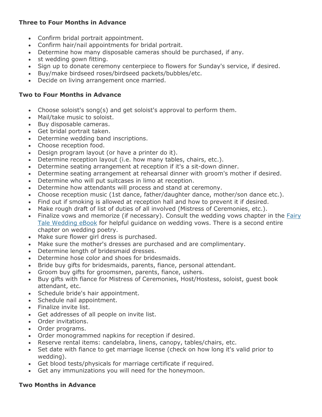# **Three to Four Months in Advance**

- Confirm bridal portrait appointment.
- Confirm hair/nail appointments for bridal portrait.
- Determine how many disposable cameras should be purchased, if any.
- st wedding gown fitting.
- Sign up to donate ceremony centerpiece to flowers for Sunday's service, if desired.
- Buy/make birdseed roses/birdseed packets/bubbles/etc.
- Decide on living arrangement once married.

#### **Two to Four Months in Advance**

- Choose soloist's song(s) and get soloist's approval to perform them.
- Mail/take music to soloist.
- Buy disposable cameras.
- Get bridal portrait taken.
- Determine wedding band inscriptions.
- Choose reception food.
- Design program layout (or have a printer do it).
- Determine reception layout (i.e. how many tables, chairs, etc.).
- Determine seating arrangement at reception if it's a sit-down dinner.
- Determine seating arrangement at rehearsal dinner with groom's mother if desired.
- Determine who will put suitcases in limo at reception.
- Determine how attendants will process and stand at ceremony.
- Choose reception music (1st dance, father/daughter dance, mother/son dance etc.).
- Find out if smoking is allowed at reception hall and how to prevent it if desired.
- Make rough draft of list of duties of all involved (Mistress of Ceremonies, etc.).
- Finalize vows and memorize (if necessary). Consult the wedding vows chapter in the Fairy [Tale Wedding eBook](hthttps://www.keepandshare.com/business/ebook1.php?p=wedding) for helpful guidance on wedding vows. There is a second entire chapter on wedding poetry.
- Make sure flower girl dress is purchased.
- Make sure the mother's dresses are purchased and are complimentary.
- Determine length of bridesmaid dresses.
- Determine hose color and shoes for bridesmaids.
- Bride buy gifts for bridesmaids, parents, fiance, personal attendant.
- Groom buy gifts for groomsmen, parents, fiance, ushers.
- Buy gifts with fiance for Mistress of Ceremonies, Host/Hostess, soloist, guest book attendant, etc.
- Schedule bride's hair appointment.
- Schedule nail appointment.
- Finalize invite list.
- Get addresses of all people on invite list.
- Order invitations.
- Order programs.
- Order monogrammed napkins for reception if desired.
- Reserve rental items: candelabra, linens, canopy, tables/chairs, etc.
- Set date with fiance to get marriage license (check on how long it's valid prior to wedding).
- Get blood tests/physicals for marriage certificate if required.
- Get any immunizations you will need for the honeymoon.

#### **Two Months in Advance**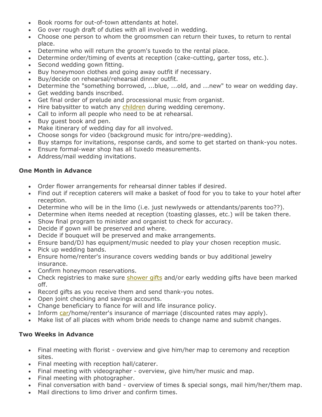- Book rooms for out-of-town attendants at hotel.
- Go over rough draft of duties with all involved in wedding.
- Choose one person to whom the groomsmen can return their tuxes, to return to rental place.
- Determine who will return the groom's tuxedo to the rental place.
- Determine order/timing of events at reception (cake-cutting, garter toss, etc.).
- Second wedding gown fitting.
- Buy honeymoon clothes and going away outfit if necessary.
- Buy/decide on rehearsal/rehearsal dinner outfit.
- Determine the "something borrowed, ...blue, ...old, and ...new" to wear on wedding day.
- Get wedding bands inscribed.
- Get final order of prelude and processional music from organist.
- Hire babysitter to watch any [children](http://www.keepandshare.com/htm/wedding_planning/fairytale/A01_Wedding_Planning_Checklist-Timeline.php) during wedding ceremony.
- Call to inform all people who need to be at rehearsal.
- Buy guest book and pen.
- Make itinerary of wedding day for all involved.
- Choose songs for video (background music for intro/pre-wedding).
- Buy stamps for invitations, response cards, and some to get started on thank-you notes.
- Ensure formal-wear shop has all tuxedo measurements.
- Address/mail wedding invitations.

#### **One Month in Advance**

- Order flower arrangements for rehearsal dinner tables if desired.
- Find out if reception caterers will make a basket of food for you to take to your hotel after reception.
- Determine who will be in the limo (i.e. just newlyweds or attendants/parents too??).
- Determine when items needed at reception (toasting glasses, etc.) will be taken there.
- Show final program to minister and organist to check for accuracy.
- Decide if gown will be preserved and where.
- Decide if bouquet will be preserved and make arrangements.
- Ensure band/DJ has equipment/music needed to play your chosen reception music.
- Pick up wedding bands.
- Ensure home/renter's insurance covers wedding bands or buy additional jewelry insurance.
- Confirm honeymoon reservations.
- Check registries to make sure [shower gifts](http://www.keepandshare.com/htm/wedding_planning/fairytale/A01_Wedding_Planning_Checklist-Timeline.php) and/or early wedding gifts have been marked off.
- Record gifts as you receive them and send thank-you notes.
- Open joint checking and savings accounts.
- Change beneficiary to fiance for will and life insurance policy.
- Inform [car/](http://www.keepandshare.com/htm/wedding_planning/fairytale/A01_Wedding_Planning_Checklist-Timeline.php)home/renter's insurance of marriage (discounted rates may apply).
- Make list of all places with whom bride needs to change name and submit changes.

# **Two Weeks in Advance**

- Final meeting with florist overview and give him/her map to ceremony and reception sites.
- Final meeting with reception hall/caterer.
- Final meeting with videographer overview, give him/her music and map.
- Final meeting with photographer.
- Final conversation with band overview of times & special songs, mail him/her/them map.
- Mail directions to limo driver and confirm times.